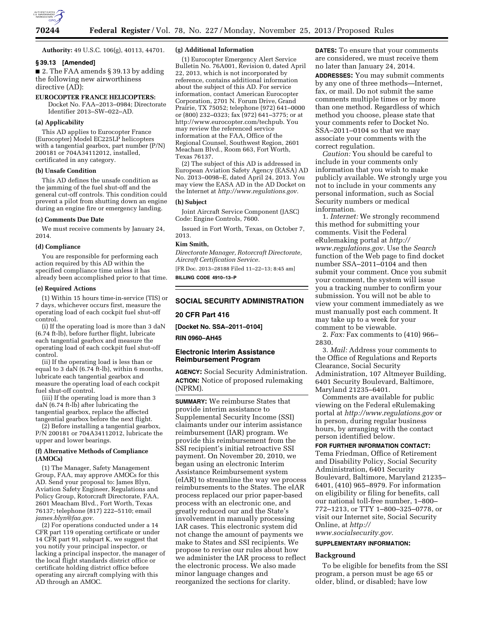

**Authority:** 49 U.S.C. 106(g), 40113, 44701.

#### **§ 39.13 [Amended]**

■ 2. The FAA amends § 39.13 by adding the following new airworthiness directive (AD):

#### **EUROCOPTER FRANCE HELICOPTERS:**

Docket No. FAA–2013–0984; Directorate Identifier 2013–SW–022–AD.

# **(a) Applicability**

This AD applies to Eurocopter France (Eurocopter) Model EC225LP helicopters with a tangential gearbox, part number (P/N) 200181 or 704A34112012, installed, certificated in any category.

#### **(b) Unsafe Condition**

This AD defines the unsafe condition as the jamming of the fuel shut-off and the general cut-off controls. This condition could prevent a pilot from shutting down an engine during an engine fire or emergency landing.

#### **(c) Comments Due Date**

We must receive comments by January 24, 2014.

#### **(d) Compliance**

You are responsible for performing each action required by this AD within the specified compliance time unless it has already been accomplished prior to that time.

#### **(e) Required Actions**

(1) Within 15 hours time-in-service (TIS) or 7 days, whichever occurs first, measure the operating load of each cockpit fuel shut-off control.

(i) If the operating load is more than 3 daN (6.74 ft-lb), before further flight, lubricate each tangential gearbox and measure the operating load of each cockpit fuel shut-off control.

(ii) If the operating load is less than or equal to 3 daN (6.74 ft-lb), within 6 months, lubricate each tangential gearbox and measure the operating load of each cockpit fuel shut-off control.

(iii) If the operating load is more than 3 daN (6.74 ft-lb) after lubricating the tangential gearbox, replace the affected tangential gearbox before the next flight.

(2) Before installing a tangential gearbox, P/N 200181 or 704A34112012, lubricate the upper and lower bearings.

#### **(f) Alternative Methods of Compliance (AMOCs)**

(1) The Manager, Safety Management Group, FAA, may approve AMOCs for this AD. Send your proposal to: James Blyn, Aviation Safety Engineer, Regulations and Policy Group, Rotorcraft Directorate, FAA, 2601 Meacham Blvd., Fort Worth, Texas 76137; telephone (817) 222–5110; email *[james.blyn@faa.gov.](mailto:james.blyn@faa.gov)* 

(2) For operations conducted under a 14 CFR part 119 operating certificate or under 14 CFR part 91, subpart K, we suggest that you notify your principal inspector, or lacking a principal inspector, the manager of the local flight standards district office or certificate holding district office before operating any aircraft complying with this AD through an AMOC.

#### **(g) Additional Information**

(1) Eurocopter Emergency Alert Service Bulletin No. 76A001, Revision 0, dated April 22, 2013, which is not incorporated by reference, contains additional information about the subject of this AD. For service information, contact American Eurocopter Corporation, 2701 N. Forum Drive, Grand Prairie, TX 75052; telephone (972) 641–0000 or (800) 232–0323; fax (972) 641–3775; or at [http://www.eurocopter.com/techpub.](http://www.eurocopter.com/techpub) You may review the referenced service information at the FAA, Office of the Regional Counsel, Southwest Region, 2601 Meacham Blvd., Room 663, Fort Worth, Texas 76137.

(2) The subject of this AD is addressed in European Aviation Safety Agency (EASA) AD No. 2013–0098–E, dated April 24, 2013. You may view the EASA AD in the AD Docket on the Internet at *[http://www.regulations.gov.](http://www.regulations.gov)* 

#### **(h) Subject**

Joint Aircraft Service Component (JASC) Code: Engine Controls, 7600.

Issued in Fort Worth, Texas, on October 7, 2013.

# **Kim Smith,**

*Directorate Manager, Rotorcraft Directorate, Aircraft Certification Service.* 

[FR Doc. 2013–28188 Filed 11–22–13; 8:45 am] **BILLING CODE 4910–13–P** 

# **SOCIAL SECURITY ADMINISTRATION**

# **20 CFR Part 416**

**[Docket No. SSA–2011–0104]** 

**RIN 0960–AH45** 

# **Electronic Interim Assistance Reimbursement Program**

**AGENCY:** Social Security Administration. **ACTION:** Notice of proposed rulemaking (NPRM).

**SUMMARY:** We reimburse States that provide interim assistance to Supplemental Security Income (SSI) claimants under our interim assistance reimbursement (IAR) program. We provide this reimbursement from the SSI recipient's initial retroactive SSI payment. On November 20, 2010, we began using an electronic Interim Assistance Reimbursement system (eIAR) to streamline the way we process reimbursements to the States. The eIAR process replaced our prior paper-based process with an electronic one, and greatly reduced our and the State's involvement in manually processing IAR cases. This electronic system did not change the amount of payments we make to States and SSI recipients. We propose to revise our rules about how we administer the IAR process to reflect the electronic process. We also made minor language changes and reorganized the sections for clarity.

**DATES:** To ensure that your comments are considered, we must receive them no later than January 24, 2014. **ADDRESSES:** You may submit comments by any one of three methods—Internet, fax, or mail. Do not submit the same comments multiple times or by more than one method. Regardless of which method you choose, please state that your comments refer to Docket No. SSA–2011–0104 so that we may associate your comments with the correct regulation.

*Caution:* You should be careful to include in your comments only information that you wish to make publicly available. We strongly urge you not to include in your comments any personal information, such as Social Security numbers or medical information.

1. *Internet:* We strongly recommend this method for submitting your comments. Visit the Federal eRulemaking portal at *[http://](http://www.regulations.gov) [www.regulations.gov.](http://www.regulations.gov)* Use the *Search*  function of the Web page to find docket number SSA–2011–0104 and then submit your comment. Once you submit your comment, the system will issue you a tracking number to confirm your submission. You will not be able to view your comment immediately as we must manually post each comment. It may take up to a week for your comment to be viewable.

2. *Fax:* Fax comments to (410) 966– 2830.

3. *Mail:* Address your comments to the Office of Regulations and Reports Clearance, Social Security Administration, 107 Altmeyer Building, 6401 Security Boulevard, Baltimore, Maryland 21235–6401.

Comments are available for public viewing on the Federal eRulemaking portal at *<http://www.regulations.gov>* or in person, during regular business hours, by arranging with the contact person identified below.

# **FOR FURTHER INFORMATION CONTACT:**

Tema Friedman, Office of Retirement and Disability Policy, Social Security Administration, 6401 Security Boulevard, Baltimore, Maryland 21235– 6401, (410) 965–8979. For information on eligibility or filing for benefits, call our national toll-free number, 1–800– 772–1213, or TTY 1–800–325–0778, or visit our Internet site, Social Security Online, at *[http://](http://www.socialsecurity.gov) [www.socialsecurity.gov.](http://www.socialsecurity.gov)* 

# **SUPPLEMENTARY INFORMATION:**

**Background** 

To be eligible for benefits from the SSI program, a person must be age 65 or older, blind, or disabled; have low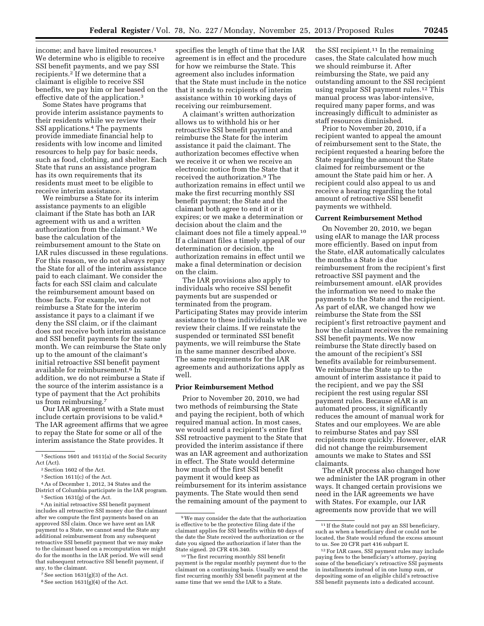income; and have limited resources.<sup>1</sup> We determine who is eligible to receive SSI benefit payments, and we pay SSI recipients.2 If we determine that a claimant is eligible to receive SSI benefits, we pay him or her based on the effective date of the application.3

Some States have programs that provide interim assistance payments to their residents while we review their SSI applications.4 The payments provide immediate financial help to residents with low income and limited resources to help pay for basic needs, such as food, clothing, and shelter. Each State that runs an assistance program has its own requirements that its residents must meet to be eligible to receive interim assistance.

We reimburse a State for its interim assistance payments to an eligible claimant if the State has both an IAR agreement with us and a written authorization from the claimant.5 We base the calculation of the reimbursement amount to the State on IAR rules discussed in these regulations. For this reason, we do not always repay the State for all of the interim assistance paid to each claimant. We consider the facts for each SSI claim and calculate the reimbursement amount based on those facts. For example, we do not reimburse a State for the interim assistance it pays to a claimant if we deny the SSI claim, or if the claimant does not receive both interim assistance and SSI benefit payments for the same month. We can reimburse the State only up to the amount of the claimant's initial retroactive SSI benefit payment available for reimbursement.6 In addition, we do not reimburse a State if the source of the interim assistance is a type of payment that the Act prohibits us from reimbursing.7

Our IAR agreement with a State must include certain provisions to be valid.<sup>8</sup> The IAR agreement affirms that we agree to repay the State for some or all of the interim assistance the State provides. It

specifies the length of time that the IAR agreement is in effect and the procedure for how we reimburse the State. This agreement also includes information that the State must include in the notice that it sends to recipients of interim assistance within 10 working days of receiving our reimbursement.

A claimant's written authorization allows us to withhold his or her retroactive SSI benefit payment and reimburse the State for the interim assistance it paid the claimant. The authorization becomes effective when we receive it or when we receive an electronic notice from the State that it received the authorization.9 The authorization remains in effect until we make the first recurring monthly SSI benefit payment; the State and the claimant both agree to end it or it expires; or we make a determination or decision about the claim and the claimant does not file a timely appeal.10 If a claimant files a timely appeal of our determination or decision, the authorization remains in effect until we make a final determination or decision on the claim.

The IAR provisions also apply to individuals who receive SSI benefit payments but are suspended or terminated from the program. Participating States may provide interim assistance to these individuals while we review their claims. If we reinstate the suspended or terminated SSI benefit payments, we will reimburse the State in the same manner described above. The same requirements for the IAR agreements and authorizations apply as well.

# **Prior Reimbursement Method**

Prior to November 20, 2010, we had two methods of reimbursing the State and paying the recipient, both of which required manual action. In most cases, we would send a recipient's entire first SSI retroactive payment to the State that provided the interim assistance if there was an IAR agreement and authorization in effect. The State would determine how much of the first SSI benefit payment it would keep as reimbursement for its interim assistance payments. The State would then send the remaining amount of the payment to

the SSI recipient.<sup>11</sup> In the remaining cases, the State calculated how much we should reimburse it. After reimbursing the State, we paid any outstanding amount to the SSI recipient using regular SSI payment rules.12 This manual process was labor-intensive, required many paper forms, and was increasingly difficult to administer as staff resources diminished.

Prior to November 20, 2010, if a recipient wanted to appeal the amount of reimbursement sent to the State, the recipient requested a hearing before the State regarding the amount the State claimed for reimbursement or the amount the State paid him or her. A recipient could also appeal to us and receive a hearing regarding the total amount of retroactive SSI benefit payments we withheld.

#### **Current Reimbursement Method**

On November 20, 2010, we began using eIAR to manage the IAR process more efficiently. Based on input from the State, eIAR automatically calculates the months a State is due reimbursement from the recipient's first retroactive SSI payment and the reimbursement amount. eIAR provides the information we need to make the payments to the State and the recipient. As part of eIAR, we changed how we reimburse the State from the SSI recipient's first retroactive payment and how the claimant receives the remaining SSI benefit payments. We now reimburse the State directly based on the amount of the recipient's SSI benefits available for reimbursement. We reimburse the State up to the amount of interim assistance it paid to the recipient, and we pay the SSI recipient the rest using regular SSI payment rules. Because eIAR is an automated process, it significantly reduces the amount of manual work for States and our employees. We are able to reimburse States and pay SSI recipients more quickly. However, eIAR did not change the reimbursement amounts we make to States and SSI claimants.

The eIAR process also changed how we administer the IAR program in other ways. It changed certain provisions we need in the IAR agreements we have with States. For example, our IAR agreements now provide that we will

<sup>1</sup>Sections 1601 and 1611(a) of the Social Security Act (Act).

<sup>&</sup>lt;sup>2</sup> Section 1602 of the Act.

<sup>3</sup>Section 1611(c) of the Act.

<sup>4</sup>As of December 1, 2012, 34 States and the District of Columbia participate in the IAR program.

<sup>5</sup>Section 1631(g) of the Act.

<sup>&</sup>lt;sup>6</sup> An initial retroactive SSI benefit payment includes all retroactive SSI money due the claimant after we compute the first payments based on an approved SSI claim. Once we have sent an IAR payment to a State, we cannot send the State any additional reimbursement from any subsequent retroactive SSI benefit payment that we may make to the claimant based on a recomputation we might do for the months in the IAR period. We will send that subsequent retroactive SSI benefit payment, if any, to the claimant.

<sup>&</sup>lt;sup>7</sup> See section  $1631(g)(3)$  of the Act.

<sup>8</sup>See section 1631(g)(4) of the Act.

<sup>9</sup>We may consider the date that the authorization is effective to be the protective filing date if the claimant applies for SSI benefits within 60 days of the date the State received the authorization or the date you signed the authorization if later than the State signed. 20 CFR 416.340.

<sup>10</sup>The first recurring monthly SSI benefit payment is the regular monthly payment due to the claimant on a continuing basis. Usually we send the first recurring monthly SSI benefit payment at the same time that we send the IAR to a State.

<sup>&</sup>lt;sup>11</sup> If the State could not pay an SSI beneficiary, such as when a beneficiary died or could not be located, the State would refund the excess amount<br>to us. See 20 CFR part 416 subpart E.

<sup>&</sup>lt;sup>12</sup> For IAR cases, SSI payment rules may include paying fees to the beneficiary's attorney, paying some of the beneficiary's retroactive SSI payments in installments instead of in one lump sum, or depositing some of an eligible child's retroactive SSI benefit payments into a dedicated account.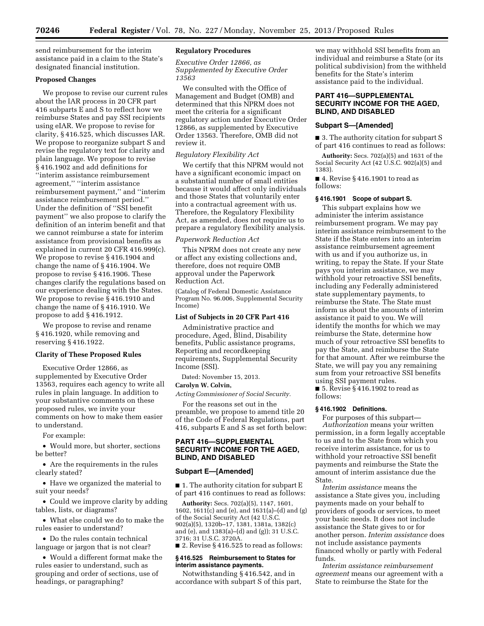send reimbursement for the interim assistance paid in a claim to the State's designated financial institution.

# **Proposed Changes**

We propose to revise our current rules about the IAR process in 20 CFR part 416 subparts E and S to reflect how we reimburse States and pay SSI recipients using eIAR. We propose to revise for clarity, § 416.525, which discusses IAR. We propose to reorganize subpart S and revise the regulatory text for clarity and plain language. We propose to revise § 416.1902 and add definitions for ''interim assistance reimbursement agreement,'' ''interim assistance reimbursement payment,'' and ''interim assistance reimbursement period.'' Under the definition of ''SSI benefit payment'' we also propose to clarify the definition of an interim benefit and that we cannot reimburse a state for interim assistance from provisional benefits as explained in current 20 CFR 416.999(c). We propose to revise § 416.1904 and change the name of § 416.1904. We propose to revise § 416.1906. These changes clarify the regulations based on our experience dealing with the States. We propose to revise § 416.1910 and change the name of § 416.1910. We propose to add § 416.1912.

We propose to revise and rename § 416.1920, while removing and reserving § 416.1922.

#### **Clarity of These Proposed Rules**

Executive Order 12866, as supplemented by Executive Order 13563, requires each agency to write all rules in plain language. In addition to your substantive comments on these proposed rules, we invite your comments on how to make them easier to understand.

For example:

• Would more, but shorter, sections be better?

• Are the requirements in the rules clearly stated?

• Have we organized the material to suit your needs?

• Could we improve clarity by adding tables, lists, or diagrams?

• What else could we do to make the rules easier to understand?

• Do the rules contain technical language or jargon that is not clear?

• Would a different format make the rules easier to understand, such as grouping and order of sections, use of headings, or paragraphing?

# **Regulatory Procedures**

*Executive Order 12866, as Supplemented by Executive Order 13563* 

We consulted with the Office of Management and Budget (OMB) and determined that this NPRM does not meet the criteria for a significant regulatory action under Executive Order 12866, as supplemented by Executive Order 13563. Therefore, OMB did not review it.

# *Regulatory Flexibility Act*

We certify that this NPRM would not have a significant economic impact on a substantial number of small entities because it would affect only individuals and those States that voluntarily enter into a contractual agreement with us. Therefore, the Regulatory Flexibility Act, as amended, does not require us to prepare a regulatory flexibility analysis.

# *Paperwork Reduction Act*

This NPRM does not create any new or affect any existing collections and, therefore, does not require OMB approval under the Paperwork Reduction Act.

(Catalog of Federal Domestic Assistance Program No. 96.006, Supplemental Security Income)

# **List of Subjects in 20 CFR Part 416**

Administrative practice and procedure, Aged, Blind, Disability benefits, Public assistance programs, Reporting and recordkeeping requirements, Supplemental Security Income (SSI).

Dated: November 15, 2013.

# **Carolyn W. Colvin,**

*Acting Commissioner of Social Security.* 

For the reasons set out in the preamble, we propose to amend title 20 of the Code of Federal Regulations, part 416, subparts E and S as set forth below:

# **PART 416—SUPPLEMENTAL SECURITY INCOME FOR THE AGED, BLIND, AND DISABLED**

#### **Subpart E—[Amended]**

■ 1. The authority citation for subpart E of part 416 continues to read as follows:

**Authority:** Secs. 702(a)(5), 1147, 1601, 1602, 1611(c) and (e), and 1631(a)–(d) and (g) of the Social Security Act (42 U.S.C. 902(a)(5), 1320b–17, 1381, 1381a, 1382(c) and (e), and 1383(a)–(d) and (g)); 31 U.S.C. 3716; 31 U.S.C. 3720A.

■ 2. Revise § 416.525 to read as follows:

#### **§ 416.525 Reimbursement to States for interim assistance payments.**

Notwithstanding § 416.542, and in accordance with subpart S of this part,

we may withhold SSI benefits from an individual and reimburse a State (or its political subdivision) from the withheld benefits for the State's interim assistance paid to the individual.

# **PART 416—SUPPLEMENTAL SECURITY INCOME FOR THE AGED, BLIND, AND DISABLED**

#### **Subpart S—[Amended]**

■ 3. The authority citation for subpart S of part 416 continues to read as follows:

**Authority:** Secs. 702(a)(5) and 1631 of the Social Security Act (42 U.S.C. 902(a)(5) and 1383).

■ 4. Revise § 416.1901 to read as follows:

# **§ 416.1901 Scope of subpart S.**

This subpart explains how we administer the interim assistance reimbursement program. We may pay interim assistance reimbursement to the State if the State enters into an interim assistance reimbursement agreement with us and if you authorize us, in writing, to repay the State. If your State pays you interim assistance, we may withhold your retroactive SSI benefits, including any Federally administered state supplementary payments, to reimburse the State. The State must inform us about the amounts of interim assistance it paid to you. We will identify the months for which we may reimburse the State, determine how much of your retroactive SSI benefits to pay the State, and reimburse the State for that amount. After we reimburse the State, we will pay you any remaining sum from your retroactive SSI benefits using SSI payment rules.

■ 5. Revise § 416.1902 to read as follows:

# **§ 416.1902 Definitions.**

For purposes of this subpart— *Authorization* means your written permission, in a form legally acceptable to us and to the State from which you receive interim assistance, for us to withhold your retroactive SSI benefit payments and reimburse the State the amount of interim assistance due the State.

*Interim assistance* means the assistance a State gives you, including payments made on your behalf to providers of goods or services, to meet your basic needs. It does not include assistance the State gives to or for another person. *Interim assistance* does not include assistance payments financed wholly or partly with Federal funds.

*Interim assistance reimbursement agreement* means our agreement with a State to reimburse the State for the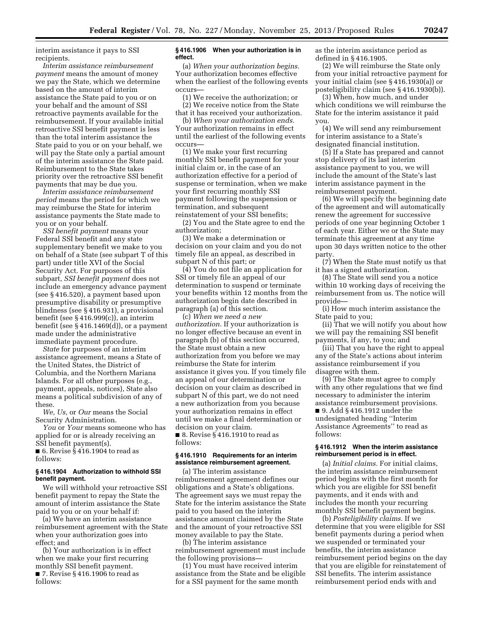interim assistance it pays to SSI recipients.

*Interim assistance reimbursement payment* means the amount of money we pay the State, which we determine based on the amount of interim assistance the State paid to you or on your behalf and the amount of SSI retroactive payments available for the reimbursement. If your available initial retroactive SSI benefit payment is less than the total interim assistance the State paid to you or on your behalf, we will pay the State only a partial amount of the interim assistance the State paid. Reimbursement to the State takes priority over the retroactive SSI benefit payments that may be due you.

*Interim assistance reimbursement period* means the period for which we may reimburse the State for interim assistance payments the State made to you or on your behalf.

*SSI benefit payment* means your Federal SSI benefit and any state supplementary benefit we make to you on behalf of a State (see subpart T of this part) under title XVI of the Social Security Act. For purposes of this subpart, *SSI benefit payment* does not include an emergency advance payment (see § 416.520), a payment based upon presumptive disability or presumptive blindness (see § 416.931), a provisional benefit (see § 416.999(c)), an interim benefit (see § 416.1469(d)), or a payment made under the administrative immediate payment procedure.

*State* for purposes of an interim assistance agreement, means a State of the United States, the District of Columbia, and the Northern Mariana Islands. For all other purposes (e.g., payment, appeals, notices), State also means a political subdivision of any of these.

*We, Us,* or *Our* means the Social Security Administration.

*You* or *Your* means someone who has applied for or is already receiving an SSI benefit payment(s).

■ 6. Revise § 416.1904 to read as follows:

#### **§ 416.1904 Authorization to withhold SSI benefit payment.**

We will withhold your retroactive SSI benefit payment to repay the State the amount of interim assistance the State paid to you or on your behalf if:

(a) We have an interim assistance reimbursement agreement with the State when your authorization goes into effect; and

(b) Your authorization is in effect when we make your first recurring monthly SSI benefit payment. ■ 7. Revise § 416.1906 to read as follows:

# **§ 416.1906 When your authorization is in effect.**

(a) *When your authorization begins.*  Your authorization becomes effective when the earliest of the following events occurs—

(1) We receive the authorization; or (2) We receive notice from the State that it has received your authorization.

(b) *When your authorization ends.*  Your authorization remains in effect until the earliest of the following events occurs—

(1) We make your first recurring monthly SSI benefit payment for your initial claim or, in the case of an authorization effective for a period of suspense or termination, when we make your first recurring monthly SSI payment following the suspension or termination, and subsequent reinstatement of your SSI benefits;

(2) You and the State agree to end the authorization;

(3) We make a determination or decision on your claim and you do not timely file an appeal, as described in subpart N of this part; or

(4) You do not file an application for SSI or timely file an appeal of our determination to suspend or terminate your benefits within 12 months from the authorization begin date described in paragraph (a) of this section.

(c) *When we need a new authorization.* If your authorization is no longer effective because an event in paragraph (b) of this section occurred, the State must obtain a new authorization from you before we may reimburse the State for interim assistance it gives you. If you timely file an appeal of our determination or decision on your claim as described in subpart N of this part, we do not need a new authorization from you because your authorization remains in effect until we make a final determination or decision on your claim.

■ 8. Revise § 416.1910 to read as follows:

# **§ 416.1910 Requirements for an interim assistance reimbursement agreement.**

(a) The interim assistance reimbursement agreement defines our obligations and a State's obligations. The agreement says we must repay the State for the interim assistance the State paid to you based on the interim assistance amount claimed by the State and the amount of your retroactive SSI money available to pay the State.

(b) The interim assistance reimbursement agreement must include the following provisions—

(1) You must have received interim assistance from the State and be eligible for a SSI payment for the same month

as the interim assistance period as defined in § 416.1905.

(2) We will reimburse the State only from your initial retroactive payment for your initial claim (see § 416.1930(a)) or posteligibility claim (see § 416.1930(b)).

(3) When, how much, and under which conditions we will reimburse the State for the interim assistance it paid you.

(4) We will send any reimbursement for interim assistance to a State's designated financial institution.

(5) If a State has prepared and cannot stop delivery of its last interim assistance payment to you, we will include the amount of the State's last interim assistance payment in the reimbursement payment.

(6) We will specify the beginning date of the agreement and will automatically renew the agreement for successive periods of one year beginning October 1 of each year. Either we or the State may terminate this agreement at any time upon 30 days written notice to the other party.

(7) When the State must notify us that it has a signed authorization.

(8) The State will send you a notice within 10 working days of receiving the reimbursement from us. The notice will provide—

(i) How much interim assistance the State paid to you;

(ii) That we will notify you about how we will pay the remaining SSI benefit payments, if any, to you; and

(iii) That you have the right to appeal any of the State's actions about interim assistance reimbursement if you disagree with them.

(9) The State must agree to comply with any other regulations that we find necessary to administer the interim assistance reimbursement provisions.

■ 9. Add § 416.1912 under the undesignated heading ''Interim Assistance Agreements'' to read as follows:

# **§ 416.1912 When the interim assistance reimbursement period is in effect.**

(a) *Initial claims.* For initial claims, the interim assistance reimbursement period begins with the first month for which you are eligible for SSI benefit payments, and it ends with and includes the month your recurring monthly SSI benefit payment begins.

(b) *Posteligibility claims.* If we determine that you were eligible for SSI benefit payments during a period when we suspended or terminated your benefits, the interim assistance reimbursement period begins on the day that you are eligible for reinstatement of SSI benefits. The interim assistance reimbursement period ends with and